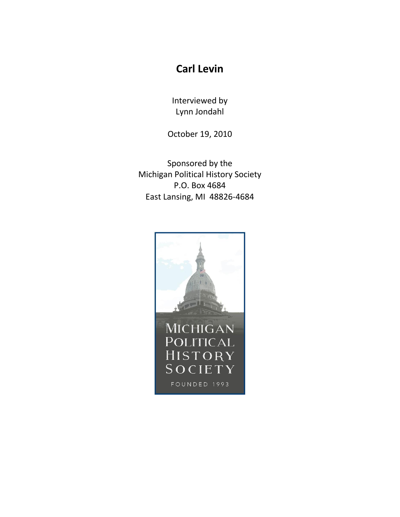## **Carl Levin**

Interviewed by Lynn Jondahl

October 19, 2010

Sponsored by the Michigan Political History Society P.O. Box 4684 East Lansing, MI 48826-4684

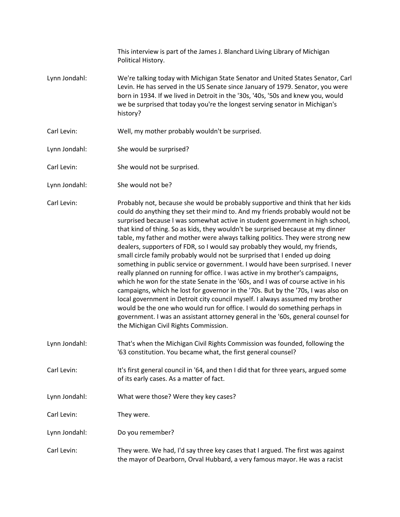This interview is part of the James J. Blanchard Living Library of Michigan Political History.

- Lynn Jondahl: We're talking today with Michigan State Senator and United States Senator, Carl Levin. He has served in the US Senate since January of 1979. Senator, you were born in 1934. If we lived in Detroit in the '30s, '40s, '50s and knew you, would we be surprised that today you're the longest serving senator in Michigan's history?
- Carl Levin: Well, my mother probably wouldn't be surprised.
- Lynn Jondahl: She would be surprised?
- Carl Levin: She would not be surprised.
- Lynn Jondahl: She would not be?
- Carl Levin: Probably not, because she would be probably supportive and think that her kids could do anything they set their mind to. And my friends probably would not be surprised because I was somewhat active in student government in high school, that kind of thing. So as kids, they wouldn't be surprised because at my dinner table, my father and mother were always talking politics. They were strong new dealers, supporters of FDR, so I would say probably they would, my friends, small circle family probably would not be surprised that I ended up doing something in public service or government. I would have been surprised. I never really planned on running for office. I was active in my brother's campaigns, which he won for the state Senate in the '60s, and I was of course active in his campaigns, which he lost for governor in the '70s. But by the '70s, I was also on local government in Detroit city council myself. I always assumed my brother would be the one who would run for office. I would do something perhaps in government. I was an assistant attorney general in the '60s, general counsel for the Michigan Civil Rights Commission.
- Lynn Jondahl: That's when the Michigan Civil Rights Commission was founded, following the '63 constitution. You became what, the first general counsel?
- Carl Levin: It's first general council in '64, and then I did that for three years, argued some of its early cases. As a matter of fact.
- Lynn Jondahl: What were those? Were they key cases?
- Carl Levin: They were.
- Lynn Jondahl: Do you remember?
- Carl Levin: They were. We had, I'd say three key cases that I argued. The first was against the mayor of Dearborn, Orval Hubbard, a very famous mayor. He was a racist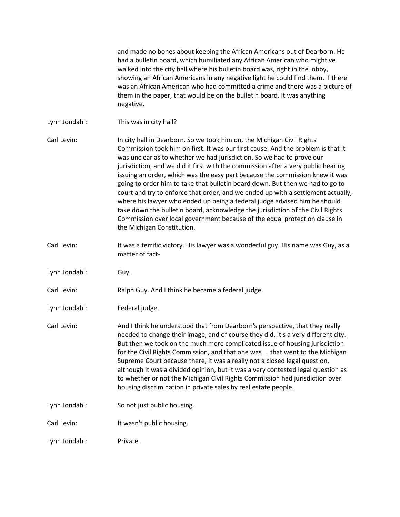|               | and made no bones about keeping the African Americans out of Dearborn. He<br>had a bulletin board, which humiliated any African American who might've<br>walked into the city hall where his bulletin board was, right in the lobby,<br>showing an African Americans in any negative light he could find them. If there<br>was an African American who had committed a crime and there was a picture of<br>them in the paper, that would be on the bulletin board. It was anything<br>negative.                                                                                                                                                                                                                                                                                                                                                          |
|---------------|----------------------------------------------------------------------------------------------------------------------------------------------------------------------------------------------------------------------------------------------------------------------------------------------------------------------------------------------------------------------------------------------------------------------------------------------------------------------------------------------------------------------------------------------------------------------------------------------------------------------------------------------------------------------------------------------------------------------------------------------------------------------------------------------------------------------------------------------------------|
| Lynn Jondahl: | This was in city hall?                                                                                                                                                                                                                                                                                                                                                                                                                                                                                                                                                                                                                                                                                                                                                                                                                                   |
| Carl Levin:   | In city hall in Dearborn. So we took him on, the Michigan Civil Rights<br>Commission took him on first. It was our first cause. And the problem is that it<br>was unclear as to whether we had jurisdiction. So we had to prove our<br>jurisdiction, and we did it first with the commission after a very public hearing<br>issuing an order, which was the easy part because the commission knew it was<br>going to order him to take that bulletin board down. But then we had to go to<br>court and try to enforce that order, and we ended up with a settlement actually,<br>where his lawyer who ended up being a federal judge advised him he should<br>take down the bulletin board, acknowledge the jurisdiction of the Civil Rights<br>Commission over local government because of the equal protection clause in<br>the Michigan Constitution. |
| Carl Levin:   | It was a terrific victory. His lawyer was a wonderful guy. His name was Guy, as a<br>matter of fact-                                                                                                                                                                                                                                                                                                                                                                                                                                                                                                                                                                                                                                                                                                                                                     |
| Lynn Jondahl: | Guy.                                                                                                                                                                                                                                                                                                                                                                                                                                                                                                                                                                                                                                                                                                                                                                                                                                                     |
| Carl Levin:   | Ralph Guy. And I think he became a federal judge.                                                                                                                                                                                                                                                                                                                                                                                                                                                                                                                                                                                                                                                                                                                                                                                                        |
| Lynn Jondahl: | Federal judge.                                                                                                                                                                                                                                                                                                                                                                                                                                                                                                                                                                                                                                                                                                                                                                                                                                           |
| Carl Levin:   | And I think he understood that from Dearborn's perspective, that they really<br>needed to change their image, and of course they did. It's a very different city.<br>But then we took on the much more complicated issue of housing jurisdiction<br>for the Civil Rights Commission, and that one was  that went to the Michigan<br>Supreme Court because there, it was a really not a closed legal question,<br>although it was a divided opinion, but it was a very contested legal question as<br>to whether or not the Michigan Civil Rights Commission had jurisdiction over<br>housing discrimination in private sales by real estate people.                                                                                                                                                                                                      |
| Lynn Jondahl: | So not just public housing.                                                                                                                                                                                                                                                                                                                                                                                                                                                                                                                                                                                                                                                                                                                                                                                                                              |
| Carl Levin:   | It wasn't public housing.                                                                                                                                                                                                                                                                                                                                                                                                                                                                                                                                                                                                                                                                                                                                                                                                                                |
| Lynn Jondahl: | Private.                                                                                                                                                                                                                                                                                                                                                                                                                                                                                                                                                                                                                                                                                                                                                                                                                                                 |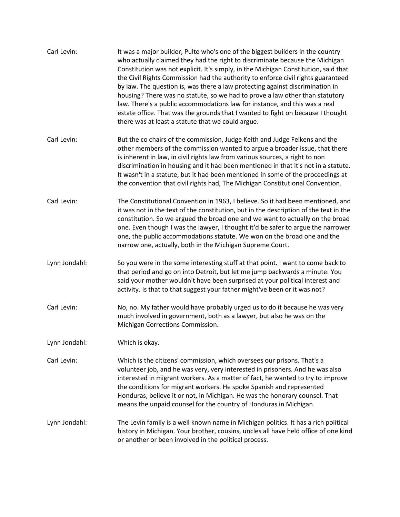| Carl Levin:   | It was a major builder, Pulte who's one of the biggest builders in the country<br>who actually claimed they had the right to discriminate because the Michigan<br>Constitution was not explicit. It's simply, in the Michigan Constitution, said that<br>the Civil Rights Commission had the authority to enforce civil rights guaranteed<br>by law. The question is, was there a law protecting against discrimination in<br>housing? There was no statute, so we had to prove a law other than statutory<br>law. There's a public accommodations law for instance, and this was a real<br>estate office. That was the grounds that I wanted to fight on because I thought<br>there was at least a statute that we could argue. |
|---------------|----------------------------------------------------------------------------------------------------------------------------------------------------------------------------------------------------------------------------------------------------------------------------------------------------------------------------------------------------------------------------------------------------------------------------------------------------------------------------------------------------------------------------------------------------------------------------------------------------------------------------------------------------------------------------------------------------------------------------------|
| Carl Levin:   | But the co chairs of the commission, Judge Keith and Judge Feikens and the<br>other members of the commission wanted to argue a broader issue, that there<br>is inherent in law, in civil rights law from various sources, a right to non<br>discrimination in housing and it had been mentioned in that it's not in a statute.<br>It wasn't in a statute, but it had been mentioned in some of the proceedings at<br>the convention that civil rights had, The Michigan Constitutional Convention.                                                                                                                                                                                                                              |
| Carl Levin:   | The Constitutional Convention in 1963, I believe. So it had been mentioned, and<br>it was not in the text of the constitution, but in the description of the text in the<br>constitution. So we argued the broad one and we want to actually on the broad<br>one. Even though I was the lawyer, I thought it'd be safer to argue the narrower<br>one, the public accommodations statute. We won on the broad one and the<br>narrow one, actually, both in the Michigan Supreme Court.                                                                                                                                                                                                                                            |
| Lynn Jondahl: | So you were in the some interesting stuff at that point. I want to come back to<br>that period and go on into Detroit, but let me jump backwards a minute. You<br>said your mother wouldn't have been surprised at your political interest and<br>activity. Is that to that suggest your father might've been or it was not?                                                                                                                                                                                                                                                                                                                                                                                                     |
| Carl Levin:   | No, no. My father would have probably urged us to do it because he was very<br>much involved in government, both as a lawyer, but also he was on the<br>Michigan Corrections Commission.                                                                                                                                                                                                                                                                                                                                                                                                                                                                                                                                         |
| Lynn Jondahl: | Which is okay.                                                                                                                                                                                                                                                                                                                                                                                                                                                                                                                                                                                                                                                                                                                   |
| Carl Levin:   | Which is the citizens' commission, which oversees our prisons. That's a<br>volunteer job, and he was very, very interested in prisoners. And he was also<br>interested in migrant workers. As a matter of fact, he wanted to try to improve<br>the conditions for migrant workers. He spoke Spanish and represented<br>Honduras, believe it or not, in Michigan. He was the honorary counsel. That<br>means the unpaid counsel for the country of Honduras in Michigan.                                                                                                                                                                                                                                                          |
| Lynn Jondahl: | The Levin family is a well known name in Michigan politics. It has a rich political<br>history in Michigan. Your brother, cousins, uncles all have held office of one kind<br>or another or been involved in the political process.                                                                                                                                                                                                                                                                                                                                                                                                                                                                                              |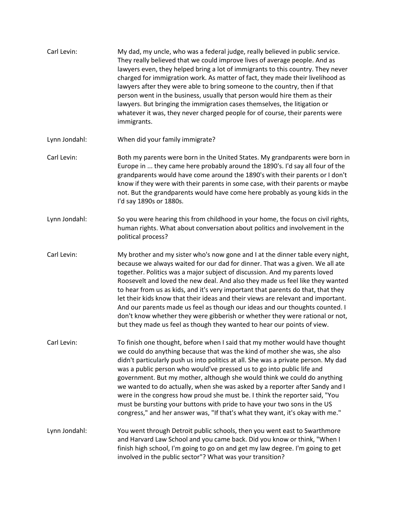| Carl Levin:   | My dad, my uncle, who was a federal judge, really believed in public service.<br>They really believed that we could improve lives of average people. And as<br>lawyers even, they helped bring a lot of immigrants to this country. They never<br>charged for immigration work. As matter of fact, they made their livelihood as<br>lawyers after they were able to bring someone to the country, then if that<br>person went in the business, usually that person would hire them as their<br>lawyers. But bringing the immigration cases themselves, the litigation or<br>whatever it was, they never charged people for of course, their parents were<br>immigrants.                                                                           |
|---------------|---------------------------------------------------------------------------------------------------------------------------------------------------------------------------------------------------------------------------------------------------------------------------------------------------------------------------------------------------------------------------------------------------------------------------------------------------------------------------------------------------------------------------------------------------------------------------------------------------------------------------------------------------------------------------------------------------------------------------------------------------|
| Lynn Jondahl: | When did your family immigrate?                                                                                                                                                                                                                                                                                                                                                                                                                                                                                                                                                                                                                                                                                                                   |
| Carl Levin:   | Both my parents were born in the United States. My grandparents were born in<br>Europe in  they came here probably around the 1890's. I'd say all four of the<br>grandparents would have come around the 1890's with their parents or I don't<br>know if they were with their parents in some case, with their parents or maybe<br>not. But the grandparents would have come here probably as young kids in the<br>I'd say 1890s or 1880s.                                                                                                                                                                                                                                                                                                        |
| Lynn Jondahl: | So you were hearing this from childhood in your home, the focus on civil rights,<br>human rights. What about conversation about politics and involvement in the<br>political process?                                                                                                                                                                                                                                                                                                                                                                                                                                                                                                                                                             |
| Carl Levin:   | My brother and my sister who's now gone and I at the dinner table every night,<br>because we always waited for our dad for dinner. That was a given. We all ate<br>together. Politics was a major subject of discussion. And my parents loved<br>Roosevelt and loved the new deal. And also they made us feel like they wanted<br>to hear from us as kids, and it's very important that parents do that, that they<br>let their kids know that their ideas and their views are relevant and important.<br>And our parents made us feel as though our ideas and our thoughts counted. I<br>don't know whether they were gibberish or whether they were rational or not,<br>but they made us feel as though they wanted to hear our points of view. |
| Carl Levin:   | To finish one thought, before when I said that my mother would have thought<br>we could do anything because that was the kind of mother she was, she also<br>didn't particularly push us into politics at all. She was a private person. My dad<br>was a public person who would've pressed us to go into public life and<br>government. But my mother, although she would think we could do anything<br>we wanted to do actually, when she was asked by a reporter after Sandy and I<br>were in the congress how proud she must be. I think the reporter said, "You<br>must be bursting your buttons with pride to have your two sons in the US<br>congress," and her answer was, "If that's what they want, it's okay with me."                 |
| Lynn Jondahl: | You went through Detroit public schools, then you went east to Swarthmore<br>and Harvard Law School and you came back. Did you know or think, "When I<br>finish high school, I'm going to go on and get my law degree. I'm going to get<br>involved in the public sector"? What was your transition?                                                                                                                                                                                                                                                                                                                                                                                                                                              |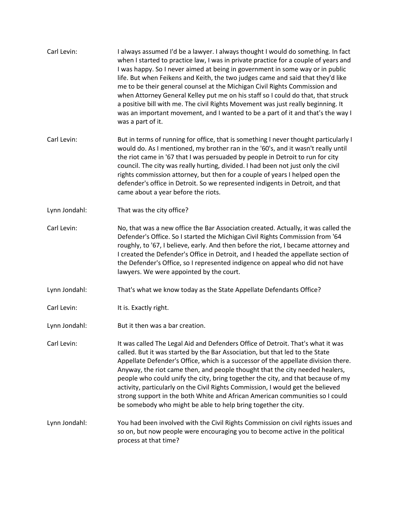| Carl Levin:   | I always assumed I'd be a lawyer. I always thought I would do something. In fact<br>when I started to practice law, I was in private practice for a couple of years and<br>I was happy. So I never aimed at being in government in some way or in public<br>life. But when Feikens and Keith, the two judges came and said that they'd like<br>me to be their general counsel at the Michigan Civil Rights Commission and<br>when Attorney General Kelley put me on his staff so I could do that, that struck<br>a positive bill with me. The civil Rights Movement was just really beginning. It<br>was an important movement, and I wanted to be a part of it and that's the way I<br>was a part of it. |
|---------------|-----------------------------------------------------------------------------------------------------------------------------------------------------------------------------------------------------------------------------------------------------------------------------------------------------------------------------------------------------------------------------------------------------------------------------------------------------------------------------------------------------------------------------------------------------------------------------------------------------------------------------------------------------------------------------------------------------------|
| Carl Levin:   | But in terms of running for office, that is something I never thought particularly I<br>would do. As I mentioned, my brother ran in the '60's, and it wasn't really until<br>the riot came in '67 that I was persuaded by people in Detroit to run for city<br>council. The city was really hurting, divided. I had been not just only the civil<br>rights commission attorney, but then for a couple of years I helped open the<br>defender's office in Detroit. So we represented indigents in Detroit, and that<br>came about a year before the riots.                                                                                                                                                 |
| Lynn Jondahl: | That was the city office?                                                                                                                                                                                                                                                                                                                                                                                                                                                                                                                                                                                                                                                                                 |
| Carl Levin:   | No, that was a new office the Bar Association created. Actually, it was called the<br>Defender's Office. So I started the Michigan Civil Rights Commission from '64<br>roughly, to '67, I believe, early. And then before the riot, I became attorney and<br>I created the Defender's Office in Detroit, and I headed the appellate section of<br>the Defender's Office, so I represented indigence on appeal who did not have<br>lawyers. We were appointed by the court.                                                                                                                                                                                                                                |
| Lynn Jondahl: | That's what we know today as the State Appellate Defendants Office?                                                                                                                                                                                                                                                                                                                                                                                                                                                                                                                                                                                                                                       |
| Carl Levin:   | It is. Exactly right.                                                                                                                                                                                                                                                                                                                                                                                                                                                                                                                                                                                                                                                                                     |
| Lynn Jondahl: | But it then was a bar creation.                                                                                                                                                                                                                                                                                                                                                                                                                                                                                                                                                                                                                                                                           |
| Carl Levin:   | It was called The Legal Aid and Defenders Office of Detroit. That's what it was<br>called. But it was started by the Bar Association, but that led to the State<br>Appellate Defender's Office, which is a successor of the appellate division there.<br>Anyway, the riot came then, and people thought that the city needed healers,<br>people who could unify the city, bring together the city, and that because of my<br>activity, particularly on the Civil Rights Commission, I would get the believed<br>strong support in the both White and African American communities so I could<br>be somebody who might be able to help bring together the city.                                            |
| Lynn Jondahl: | You had been involved with the Civil Rights Commission on civil rights issues and<br>so on, but now people were encouraging you to become active in the political<br>process at that time?                                                                                                                                                                                                                                                                                                                                                                                                                                                                                                                |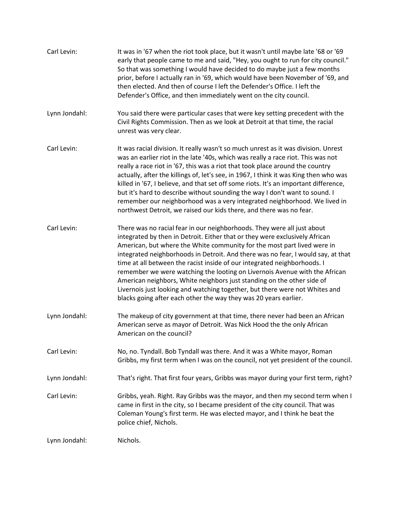| Carl Levin:   | It was in '67 when the riot took place, but it wasn't until maybe late '68 or '69<br>early that people came to me and said, "Hey, you ought to run for city council."<br>So that was something I would have decided to do maybe just a few months<br>prior, before I actually ran in '69, which would have been November of '69, and<br>then elected. And then of course I left the Defender's Office. I left the<br>Defender's Office, and then immediately went on the city council.                                                                                                                                                                                                                       |
|---------------|--------------------------------------------------------------------------------------------------------------------------------------------------------------------------------------------------------------------------------------------------------------------------------------------------------------------------------------------------------------------------------------------------------------------------------------------------------------------------------------------------------------------------------------------------------------------------------------------------------------------------------------------------------------------------------------------------------------|
| Lynn Jondahl: | You said there were particular cases that were key setting precedent with the<br>Civil Rights Commission. Then as we look at Detroit at that time, the racial<br>unrest was very clear.                                                                                                                                                                                                                                                                                                                                                                                                                                                                                                                      |
| Carl Levin:   | It was racial division. It really wasn't so much unrest as it was division. Unrest<br>was an earlier riot in the late '40s, which was really a race riot. This was not<br>really a race riot in '67, this was a riot that took place around the country<br>actually, after the killings of, let's see, in 1967, I think it was King then who was<br>killed in '67, I believe, and that set off some riots. It's an important difference,<br>but it's hard to describe without sounding the way I don't want to sound. I<br>remember our neighborhood was a very integrated neighborhood. We lived in<br>northwest Detroit, we raised our kids there, and there was no fear.                                  |
| Carl Levin:   | There was no racial fear in our neighborhoods. They were all just about<br>integrated by then in Detroit. Either that or they were exclusively African<br>American, but where the White community for the most part lived were in<br>integrated neighborhoods in Detroit. And there was no fear, I would say, at that<br>time at all between the racist inside of our integrated neighborhoods. I<br>remember we were watching the looting on Livernois Avenue with the African<br>American neighbors, White neighbors just standing on the other side of<br>Livernois just looking and watching together, but there were not Whites and<br>blacks going after each other the way they was 20 years earlier. |
| Lynn Jondahl: | The makeup of city government at that time, there never had been an African<br>American serve as mayor of Detroit. Was Nick Hood the the only African<br>American on the council?                                                                                                                                                                                                                                                                                                                                                                                                                                                                                                                            |
| Carl Levin:   | No, no. Tyndall. Bob Tyndall was there. And it was a White mayor, Roman<br>Gribbs, my first term when I was on the council, not yet president of the council.                                                                                                                                                                                                                                                                                                                                                                                                                                                                                                                                                |
| Lynn Jondahl: | That's right. That first four years, Gribbs was mayor during your first term, right?                                                                                                                                                                                                                                                                                                                                                                                                                                                                                                                                                                                                                         |
| Carl Levin:   | Gribbs, yeah. Right. Ray Gribbs was the mayor, and then my second term when I<br>came in first in the city, so I became president of the city council. That was<br>Coleman Young's first term. He was elected mayor, and I think he beat the<br>police chief, Nichols.                                                                                                                                                                                                                                                                                                                                                                                                                                       |
| Lynn Jondahl: | Nichols.                                                                                                                                                                                                                                                                                                                                                                                                                                                                                                                                                                                                                                                                                                     |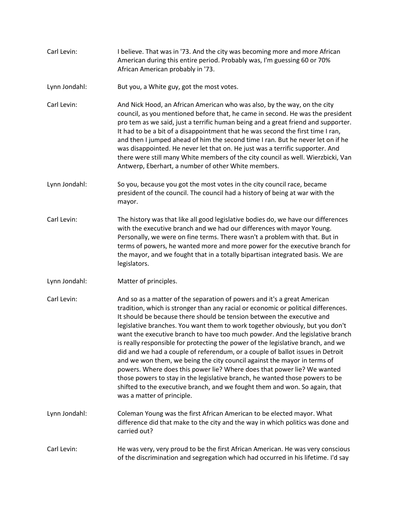| Carl Levin:   | I believe. That was in '73. And the city was becoming more and more African<br>American during this entire period. Probably was, I'm guessing 60 or 70%<br>African American probably in '73.                                                                                                                                                                                                                                                                                                                                                                                                                                                                                                                                                                                                                                                                                                                                         |
|---------------|--------------------------------------------------------------------------------------------------------------------------------------------------------------------------------------------------------------------------------------------------------------------------------------------------------------------------------------------------------------------------------------------------------------------------------------------------------------------------------------------------------------------------------------------------------------------------------------------------------------------------------------------------------------------------------------------------------------------------------------------------------------------------------------------------------------------------------------------------------------------------------------------------------------------------------------|
| Lynn Jondahl: | But you, a White guy, got the most votes.                                                                                                                                                                                                                                                                                                                                                                                                                                                                                                                                                                                                                                                                                                                                                                                                                                                                                            |
| Carl Levin:   | And Nick Hood, an African American who was also, by the way, on the city<br>council, as you mentioned before that, he came in second. He was the president<br>pro tem as we said, just a terrific human being and a great friend and supporter.<br>It had to be a bit of a disappointment that he was second the first time I ran,<br>and then I jumped ahead of him the second time I ran. But he never let on if he<br>was disappointed. He never let that on. He just was a terrific supporter. And<br>there were still many White members of the city council as well. Wierzbicki, Van<br>Antwerp, Eberhart, a number of other White members.                                                                                                                                                                                                                                                                                    |
| Lynn Jondahl: | So you, because you got the most votes in the city council race, became<br>president of the council. The council had a history of being at war with the<br>mayor.                                                                                                                                                                                                                                                                                                                                                                                                                                                                                                                                                                                                                                                                                                                                                                    |
| Carl Levin:   | The history was that like all good legislative bodies do, we have our differences<br>with the executive branch and we had our differences with mayor Young.<br>Personally, we were on fine terms. There wasn't a problem with that. But in<br>terms of powers, he wanted more and more power for the executive branch for<br>the mayor, and we fought that in a totally bipartisan integrated basis. We are<br>legislators.                                                                                                                                                                                                                                                                                                                                                                                                                                                                                                          |
| Lynn Jondahl: | Matter of principles.                                                                                                                                                                                                                                                                                                                                                                                                                                                                                                                                                                                                                                                                                                                                                                                                                                                                                                                |
| Carl Levin:   | And so as a matter of the separation of powers and it's a great American<br>tradition, which is stronger than any racial or economic or political differences.<br>It should be because there should be tension between the executive and<br>legislative branches. You want them to work together obviously, but you don't<br>want the executive branch to have too much powder. And the legislative branch<br>is really responsible for protecting the power of the legislative branch, and we<br>did and we had a couple of referendum, or a couple of ballot issues in Detroit<br>and we won them, we being the city council against the mayor in terms of<br>powers. Where does this power lie? Where does that power lie? We wanted<br>those powers to stay in the legislative branch, he wanted those powers to be<br>shifted to the executive branch, and we fought them and won. So again, that<br>was a matter of principle. |
| Lynn Jondahl: | Coleman Young was the first African American to be elected mayor. What<br>difference did that make to the city and the way in which politics was done and<br>carried out?                                                                                                                                                                                                                                                                                                                                                                                                                                                                                                                                                                                                                                                                                                                                                            |
| Carl Levin:   | He was very, very proud to be the first African American. He was very conscious<br>of the discrimination and segregation which had occurred in his lifetime. I'd say                                                                                                                                                                                                                                                                                                                                                                                                                                                                                                                                                                                                                                                                                                                                                                 |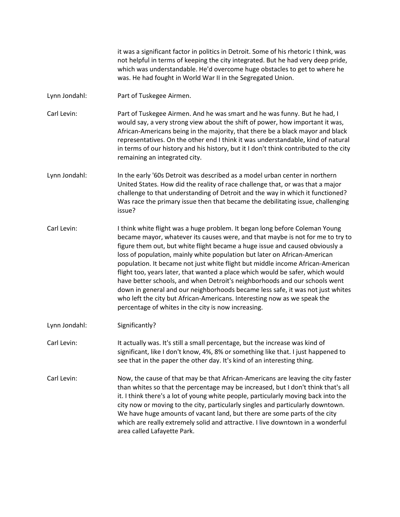it was a significant factor in politics in Detroit. Some of his rhetoric I think, was not helpful in terms of keeping the city integrated. But he had very deep pride, which was understandable. He'd overcome huge obstacles to get to where he was. He had fought in World War II in the Segregated Union.

Lynn Jondahl: Part of Tuskegee Airmen.

Carl Levin: Part of Tuskegee Airmen. And he was smart and he was funny. But he had, I would say, a very strong view about the shift of power, how important it was, African-Americans being in the majority, that there be a black mayor and black representatives. On the other end I think it was understandable, kind of natural in terms of our history and his history, but it I don't think contributed to the city remaining an integrated city.

- Lynn Jondahl: In the early '60s Detroit was described as a model urban center in northern United States. How did the reality of race challenge that, or was that a major challenge to that understanding of Detroit and the way in which it functioned? Was race the primary issue then that became the debilitating issue, challenging issue?
- Carl Levin: I think white flight was a huge problem. It began long before Coleman Young became mayor, whatever its causes were, and that maybe is not for me to try to figure them out, but white flight became a huge issue and caused obviously a loss of population, mainly white population but later on African-American population. It became not just white flight but middle income African-American flight too, years later, that wanted a place which would be safer, which would have better schools, and when Detroit's neighborhoods and our schools went down in general and our neighborhoods became less safe, it was not just whites who left the city but African-Americans. Interesting now as we speak the percentage of whites in the city is now increasing.
- Lynn Jondahl: Significantly?

Carl Levin: It actually was. It's still a small percentage, but the increase was kind of significant, like I don't know, 4%, 8% or something like that. I just happened to see that in the paper the other day. It's kind of an interesting thing.

Carl Levin: Now, the cause of that may be that African-Americans are leaving the city faster than whites so that the percentage may be increased, but I don't think that's all it. I think there's a lot of young white people, particularly moving back into the city now or moving to the city, particularly singles and particularly downtown. We have huge amounts of vacant land, but there are some parts of the city which are really extremely solid and attractive. I live downtown in a wonderful area called Lafayette Park.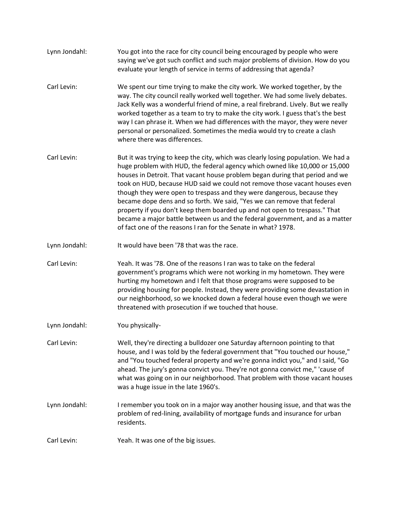- Lynn Jondahl: You got into the race for city council being encouraged by people who were saying we've got such conflict and such major problems of division. How do you evaluate your length of service in terms of addressing that agenda?
- Carl Levin: We spent our time trying to make the city work. We worked together, by the way. The city council really worked well together. We had some lively debates. Jack Kelly was a wonderful friend of mine, a real firebrand. Lively. But we really worked together as a team to try to make the city work. I guess that's the best way I can phrase it. When we had differences with the mayor, they were never personal or personalized. Sometimes the media would try to create a clash where there was differences.
- Carl Levin: But it was trying to keep the city, which was clearly losing population. We had a huge problem with HUD, the federal agency which owned like 10,000 or 15,000 houses in Detroit. That vacant house problem began during that period and we took on HUD, because HUD said we could not remove those vacant houses even though they were open to trespass and they were dangerous, because they became dope dens and so forth. We said, "Yes we can remove that federal property if you don't keep them boarded up and not open to trespass." That became a major battle between us and the federal government, and as a matter of fact one of the reasons I ran for the Senate in what? 1978.
- Lynn Jondahl: It would have been '78 that was the race.

Carl Levin: Yeah. It was '78. One of the reasons I ran was to take on the federal government's programs which were not working in my hometown. They were hurting my hometown and I felt that those programs were supposed to be providing housing for people. Instead, they were providing some devastation in our neighborhood, so we knocked down a federal house even though we were threatened with prosecution if we touched that house.

- Lynn Jondahl: You physically-
- Carl Levin: Well, they're directing a bulldozer one Saturday afternoon pointing to that house, and I was told by the federal government that "You touched our house," and "You touched federal property and we're gonna indict you," and I said, "Go ahead. The jury's gonna convict you. They're not gonna convict me," 'cause of what was going on in our neighborhood. That problem with those vacant houses was a huge issue in the late 1960's.
- Lynn Jondahl: I remember you took on in a major way another housing issue, and that was the problem of red-lining, availability of mortgage funds and insurance for urban residents.
- Carl Levin: Yeah. It was one of the big issues.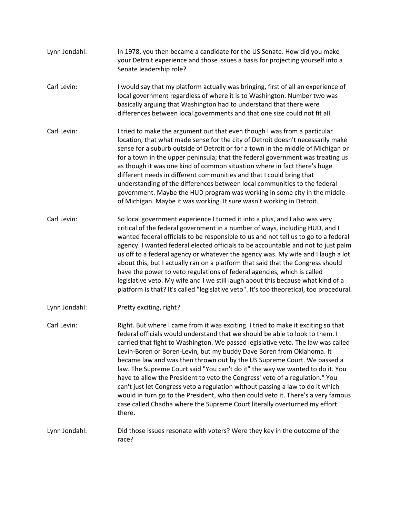- Lynn Jondahl: In 1978, you then became a candidate for the US Senate. How did you make your Detroit experience and those issues a basis for projecting yourself into a Senate leadership role?
- Carl Levin: I would say that my platform actually was bringing, first of all an experience of local government regardless of where it is to Washington. Number two was basically arguing that Washington had to understand that there were differences between local governments and that one size could not fit all.
- Carl Levin: I tried to make the argument out that even though I was from a particular location, that what made sense for the city of Detroit doesn't necessarily make sense for a suburb outside of Detroit or for a town in the middle of Michigan or for a town in the upper peninsula; that the federal government was treating us as though it was one kind of common situation where in fact there's huge different needs in different communities and that I could bring that understanding of the differences between local communities to the federal government. Maybe the HUD program was working in some city in the middle of Michigan. Maybe it was working. It sure wasn't working in Detroit.
- Carl Levin: So local government experience I turned it into a plus, and I also was very critical of the federal government in a number of ways, including HUD, and I wanted federal officials to be responsible to us and not tell us to go to a federal agency. I wanted federal elected officials to be accountable and not to just palm us off to a federal agency or whatever the agency was. My wife and I laugh a lot about this, but I actually ran on a platform that said that the Congress should have the power to veto regulations of federal agencies, which is called legislative veto. My wife and I we still laugh about this because what kind of a platform is that? It's called "legislative veto". It's too theoretical, too procedural.
- Lynn Jondahl: Pretty exciting, right?
- Carl Levin: Right. But where I came from it was exciting. I tried to make it exciting so that federal officials would understand that we should be able to look to them. I carried that fight to Washington. We passed legislative veto. The law was called Levin-Boren or Boren-Levin, but my buddy Dave Boren from Oklahoma. It became law and was then thrown out by the US Supreme Court. We passed a law. The Supreme Court said "You can't do it" the way we wanted to do it. You have to allow the President to veto the Congress' veto of a regulation." You can't just let Congress veto a regulation without passing a law to do it which would in turn go to the President, who then could veto it. There's a very famous case called Chadha where the Supreme Court literally overturned my effort there.
- Lynn Jondahl: Did those issues resonate with voters? Were they key in the outcome of the race?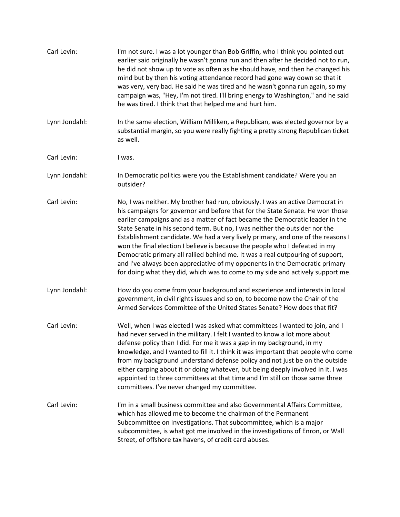| Carl Levin:   | I'm not sure. I was a lot younger than Bob Griffin, who I think you pointed out<br>earlier said originally he wasn't gonna run and then after he decided not to run,<br>he did not show up to vote as often as he should have, and then he changed his<br>mind but by then his voting attendance record had gone way down so that it<br>was very, very bad. He said he was tired and he wasn't gonna run again, so my<br>campaign was, "Hey, I'm not tired. I'll bring energy to Washington," and he said<br>he was tired. I think that that helped me and hurt him.                                                                                                                                                                                |
|---------------|-----------------------------------------------------------------------------------------------------------------------------------------------------------------------------------------------------------------------------------------------------------------------------------------------------------------------------------------------------------------------------------------------------------------------------------------------------------------------------------------------------------------------------------------------------------------------------------------------------------------------------------------------------------------------------------------------------------------------------------------------------|
| Lynn Jondahl: | In the same election, William Milliken, a Republican, was elected governor by a<br>substantial margin, so you were really fighting a pretty strong Republican ticket<br>as well.                                                                                                                                                                                                                                                                                                                                                                                                                                                                                                                                                                    |
| Carl Levin:   | I was.                                                                                                                                                                                                                                                                                                                                                                                                                                                                                                                                                                                                                                                                                                                                              |
| Lynn Jondahl: | In Democratic politics were you the Establishment candidate? Were you an<br>outsider?                                                                                                                                                                                                                                                                                                                                                                                                                                                                                                                                                                                                                                                               |
| Carl Levin:   | No, I was neither. My brother had run, obviously. I was an active Democrat in<br>his campaigns for governor and before that for the State Senate. He won those<br>earlier campaigns and as a matter of fact became the Democratic leader in the<br>State Senate in his second term. But no, I was neither the outsider nor the<br>Establishment candidate. We had a very lively primary, and one of the reasons I<br>won the final election I believe is because the people who I defeated in my<br>Democratic primary all rallied behind me. It was a real outpouring of support,<br>and I've always been appreciative of my opponents in the Democratic primary<br>for doing what they did, which was to come to my side and actively support me. |
| Lynn Jondahl: | How do you come from your background and experience and interests in local<br>government, in civil rights issues and so on, to become now the Chair of the<br>Armed Services Committee of the United States Senate? How does that fit?                                                                                                                                                                                                                                                                                                                                                                                                                                                                                                              |
| Carl Levin:   | Well, when I was elected I was asked what committees I wanted to join, and I<br>had never served in the military. I felt I wanted to know a lot more about<br>defense policy than I did. For me it was a gap in my background, in my<br>knowledge, and I wanted to fill it. I think it was important that people who come<br>from my background understand defense policy and not just be on the outside<br>either carping about it or doing whatever, but being deeply involved in it. I was<br>appointed to three committees at that time and I'm still on those same three<br>committees. I've never changed my committee.                                                                                                                       |
| Carl Levin:   | I'm in a small business committee and also Governmental Affairs Committee,<br>which has allowed me to become the chairman of the Permanent<br>Subcommittee on Investigations. That subcommittee, which is a major<br>subcommittee, is what got me involved in the investigations of Enron, or Wall<br>Street, of offshore tax havens, of credit card abuses.                                                                                                                                                                                                                                                                                                                                                                                        |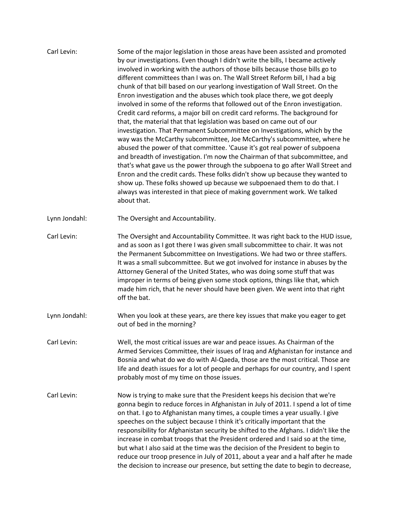| Carl Levin:   | Some of the major legislation in those areas have been assisted and promoted<br>by our investigations. Even though I didn't write the bills, I became actively<br>involved in working with the authors of those bills because those bills go to<br>different committees than I was on. The Wall Street Reform bill, I had a big<br>chunk of that bill based on our yearlong investigation of Wall Street. On the<br>Enron investigation and the abuses which took place there, we got deeply<br>involved in some of the reforms that followed out of the Enron investigation.<br>Credit card reforms, a major bill on credit card reforms. The background for<br>that, the material that that legislation was based on came out of our<br>investigation. That Permanent Subcommittee on Investigations, which by the<br>way was the McCarthy subcommittee, Joe McCarthy's subcommittee, where he<br>abused the power of that committee. 'Cause it's got real power of subpoena<br>and breadth of investigation. I'm now the Chairman of that subcommittee, and<br>that's what gave us the power through the subpoena to go after Wall Street and<br>Enron and the credit cards. These folks didn't show up because they wanted to<br>show up. These folks showed up because we subpoenaed them to do that. I<br>always was interested in that piece of making government work. We talked<br>about that. |
|---------------|---------------------------------------------------------------------------------------------------------------------------------------------------------------------------------------------------------------------------------------------------------------------------------------------------------------------------------------------------------------------------------------------------------------------------------------------------------------------------------------------------------------------------------------------------------------------------------------------------------------------------------------------------------------------------------------------------------------------------------------------------------------------------------------------------------------------------------------------------------------------------------------------------------------------------------------------------------------------------------------------------------------------------------------------------------------------------------------------------------------------------------------------------------------------------------------------------------------------------------------------------------------------------------------------------------------------------------------------------------------------------------------------------------|
| Lynn Jondahl: | The Oversight and Accountability.                                                                                                                                                                                                                                                                                                                                                                                                                                                                                                                                                                                                                                                                                                                                                                                                                                                                                                                                                                                                                                                                                                                                                                                                                                                                                                                                                                       |
| Carl Levin:   | The Oversight and Accountability Committee. It was right back to the HUD issue,<br>and as soon as I got there I was given small subcommittee to chair. It was not<br>the Permanent Subcommittee on Investigations. We had two or three staffers.<br>It was a small subcommittee. But we got involved for instance in abuses by the<br>Attorney General of the United States, who was doing some stuff that was<br>improper in terms of being given some stock options, things like that, which<br>made him rich, that he never should have been given. We went into that right<br>off the bat.                                                                                                                                                                                                                                                                                                                                                                                                                                                                                                                                                                                                                                                                                                                                                                                                          |
| Lynn Jondahl: | When you look at these years, are there key issues that make you eager to get<br>out of bed in the morning?                                                                                                                                                                                                                                                                                                                                                                                                                                                                                                                                                                                                                                                                                                                                                                                                                                                                                                                                                                                                                                                                                                                                                                                                                                                                                             |
| Carl Levin:   | Well, the most critical issues are war and peace issues. As Chairman of the<br>Armed Services Committee, their issues of Iraq and Afghanistan for instance and<br>Bosnia and what do we do with Al-Qaeda, those are the most critical. Those are<br>life and death issues for a lot of people and perhaps for our country, and I spent<br>probably most of my time on those issues.                                                                                                                                                                                                                                                                                                                                                                                                                                                                                                                                                                                                                                                                                                                                                                                                                                                                                                                                                                                                                     |
| Carl Levin:   | Now is trying to make sure that the President keeps his decision that we're<br>gonna begin to reduce forces in Afghanistan in July of 2011. I spend a lot of time<br>on that. I go to Afghanistan many times, a couple times a year usually. I give<br>speeches on the subject because I think it's critically important that the<br>responsibility for Afghanistan security be shifted to the Afghans. I didn't like the<br>increase in combat troops that the President ordered and I said so at the time,<br>but what I also said at the time was the decision of the President to begin to<br>reduce our troop presence in July of 2011, about a year and a half after he made<br>the decision to increase our presence, but setting the date to begin to decrease,                                                                                                                                                                                                                                                                                                                                                                                                                                                                                                                                                                                                                                 |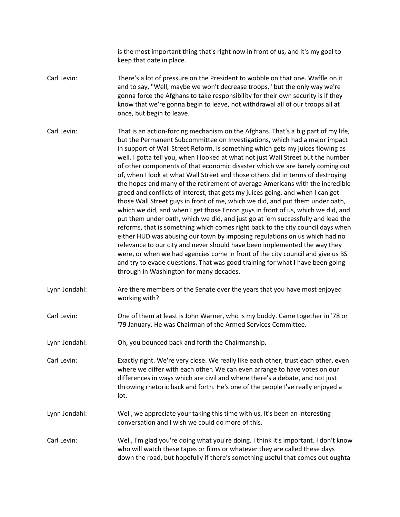is the most important thing that's right now in front of us, and it's my goal to keep that date in place.

- Carl Levin: There's a lot of pressure on the President to wobble on that one. Waffle on it and to say, "Well, maybe we won't decrease troops," but the only way we're gonna force the Afghans to take responsibility for their own security is if they know that we're gonna begin to leave, not withdrawal all of our troops all at once, but begin to leave.
- Carl Levin: That is an action-forcing mechanism on the Afghans. That's a big part of my life, but the Permanent Subcommittee on Investigations, which had a major impact in support of Wall Street Reform, is something which gets my juices flowing as well. I gotta tell you, when I looked at what not just Wall Street but the number of other components of that economic disaster which we are barely coming out of, when I look at what Wall Street and those others did in terms of destroying the hopes and many of the retirement of average Americans with the incredible greed and conflicts of interest, that gets my juices going, and when I can get those Wall Street guys in front of me, which we did, and put them under oath, which we did, and when I get those Enron guys in front of us, which we did, and put them under oath, which we did, and just go at 'em successfully and lead the reforms, that is something which comes right back to the city council days when either HUD was abusing our town by imposing regulations on us which had no relevance to our city and never should have been implemented the way they were, or when we had agencies come in front of the city council and give us BS and try to evade questions. That was good training for what I have been going through in Washington for many decades.
- Lynn Jondahl: Are there members of the Senate over the years that you have most enjoyed working with?
- Carl Levin: One of them at least is John Warner, who is my buddy. Came together in '78 or '79 January. He was Chairman of the Armed Services Committee.
- Lynn Jondahl: Oh, you bounced back and forth the Chairmanship.
- Carl Levin: Exactly right. We're very close. We really like each other, trust each other, even where we differ with each other. We can even arrange to have votes on our differences in ways which are civil and where there's a debate, and not just throwing rhetoric back and forth. He's one of the people I've really enjoyed a lot.
- Lynn Jondahl: Well, we appreciate your taking this time with us. It's been an interesting conversation and I wish we could do more of this.
- Carl Levin: Well, I'm glad you're doing what you're doing. I think it's important. I don't know who will watch these tapes or films or whatever they are called these days down the road, but hopefully if there's something useful that comes out oughta